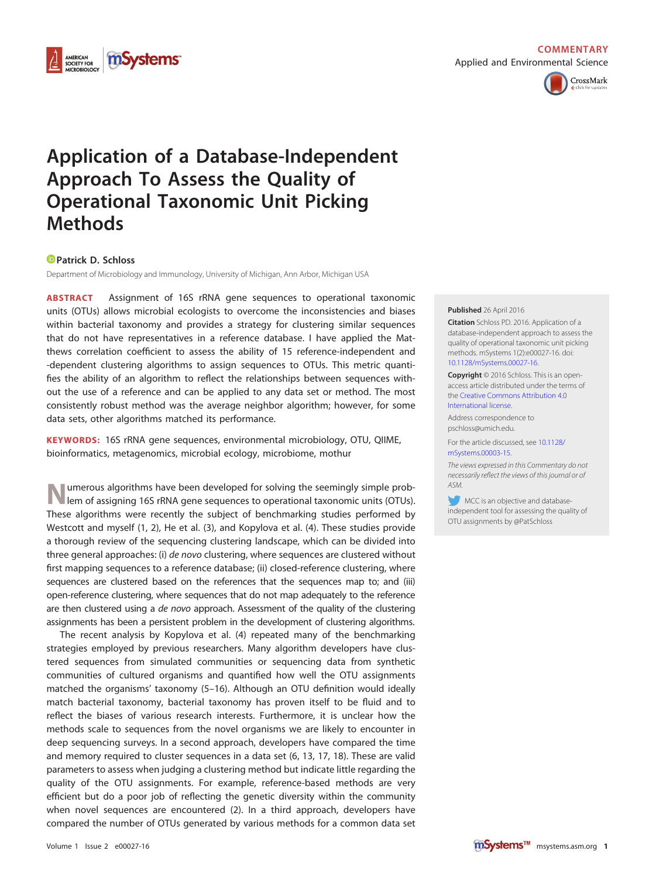



## **Application of a Database-Independent Approach To Assess the Quality of Operational Taxonomic Unit Picking Methods**

## **[Patrick D. Schloss](http://orcid.org/0000-0002-6935-4275)**

Department of Microbiology and Immunology, University of Michigan, Ann Arbor, Michigan USA

**ABSTRACT** Assignment of 16S rRNA gene sequences to operational taxonomic units (OTUs) allows microbial ecologists to overcome the inconsistencies and biases within bacterial taxonomy and provides a strategy for clustering similar sequences that do not have representatives in a reference database. I have applied the Matthews correlation coefficient to assess the ability of 15 reference-independent and -dependent clustering algorithms to assign sequences to OTUs. This metric quantifies the ability of an algorithm to reflect the relationships between sequences without the use of a reference and can be applied to any data set or method. The most consistently robust method was the average neighbor algorithm; however, for some data sets, other algorithms matched its performance.

**KEYWORDS:** 16S rRNA gene sequences, environmental microbiology, OTU, QIIME, bioinformatics, metagenomics, microbial ecology, microbiome, mothur

umerous algorithms have been developed for solving the seemingly simple problem of assigning 16S rRNA gene sequences to operational taxonomic units (OTUs). These algorithms were recently the subject of benchmarking studies performed by Westcott and myself [\(1,](#page-3-0) [2\)](#page-3-1), He et al. [\(3\)](#page-3-2), and Kopylova et al. [\(4\)](#page-3-3). These studies provide a thorough review of the sequencing clustering landscape, which can be divided into three general approaches: (i) de novo clustering, where sequences are clustered without first mapping sequences to a reference database; (ii) closed-reference clustering, where sequences are clustered based on the references that the sequences map to; and (iii) open-reference clustering, where sequences that do not map adequately to the reference are then clustered using a de novo approach. Assessment of the quality of the clustering assignments has been a persistent problem in the development of clustering algorithms.

The recent analysis by Kopylova et al. [\(4\)](#page-3-3) repeated many of the benchmarking strategies employed by previous researchers. Many algorithm developers have clustered sequences from simulated communities or sequencing data from synthetic communities of cultured organisms and quantified how well the OTU assignments matched the organisms' taxonomy [\(5](#page-3-4)[–](#page-3-5)[16\)](#page-3-6). Although an OTU definition would ideally match bacterial taxonomy, bacterial taxonomy has proven itself to be fluid and to reflect the biases of various research interests. Furthermore, it is unclear how the methods scale to sequences from the novel organisms we are likely to encounter in deep sequencing surveys. In a second approach, developers have compared the time and memory required to cluster sequences in a data set [\(6,](#page-3-7) [13,](#page-3-8) [17,](#page-3-9) [18\)](#page-3-10). These are valid parameters to assess when judging a clustering method but indicate little regarding the quality of the OTU assignments. For example, reference-based methods are very efficient but do a poor job of reflecting the genetic diversity within the community when novel sequences are encountered [\(2\)](#page-3-1). In a third approach, developers have compared the number of OTUs generated by various methods for a common data set

## **Published** 26 April 2016

**Citation** Schloss PD. 2016. Application of a database-independent approach to assess the quality of operational taxonomic unit picking methods. mSystems 1(2):e00027-16. doi: [10.1128/mSystems.00027-16.](http://dx.doi.org/10.1128/mSystems.00027-16)

**Copyright** © 2016 Schloss. This is an openaccess article distributed under the terms of the [Creative Commons Attribution 4.0](http://creativecommons.org/licenses/by/4.0/) [International license.](http://creativecommons.org/licenses/by/4.0/)

Address correspondence to pschloss@umich.edu.

For the article discussed, see [10.1128/](http://dx.doi.org/10.1128/mSystems.00003-15) [mSystems.00003-15.](http://dx.doi.org/10.1128/mSystems.00003-15)

The views expressed in this Commentary do not necessarily reflect the views of this journal or of ASM.

MCC is an objective and databaseindependent tool for assessing the quality of OTU assignments by @PatSchloss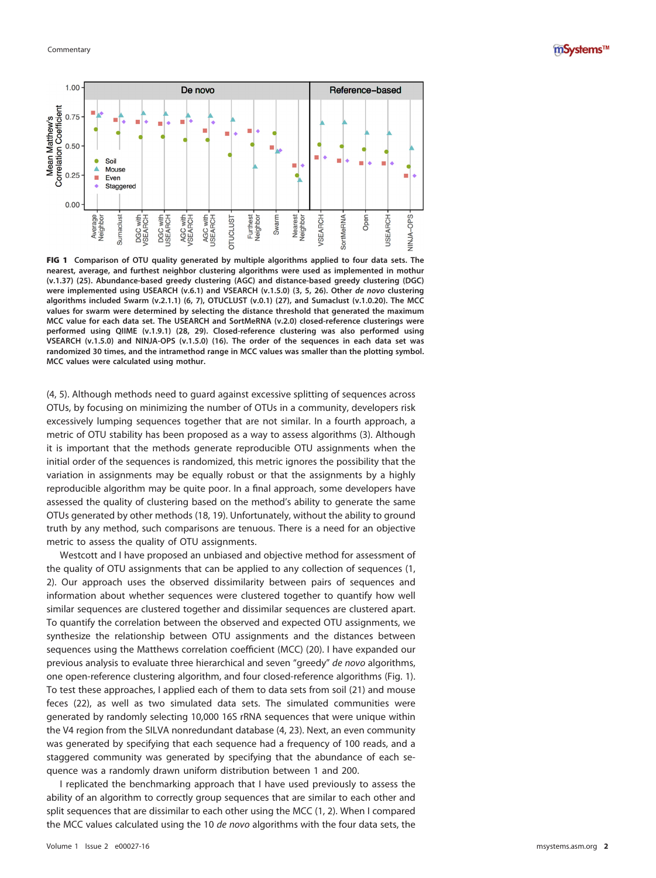



<span id="page-1-0"></span>FIG 1 **Comparison of OTU quality generated by multiple algorithms applied to four data sets. The nearest, average, and furthest neighbor clustering algorithms were used as implemented in mothur (v.1.37) [\(25\)](#page-3-16). Abundance-based greedy clustering (AGC) and distance-based greedy clustering (DGC) were implemented using USEARCH (v.6.1) and VSEARCH (v.1.5.0) [\(3,](#page-3-2) [5,](#page-3-4) [26\)](#page-3-17). Other de novo clustering algorithms included Swarm (v.2.1.1) [\(6,](#page-3-7) [7\)](#page-3-18), OTUCLUST (v.0.1) [\(27\)](#page-3-19), and Sumaclust (v.1.0.20). The MCC values for swarm were determined by selecting the distance threshold that generated the maximum MCC value for each data set. The USEARCH and SortMeRNA (v.2.0) closed-reference clusterings were performed using QIIME (v.1.9.1) [\(28,](#page-3-20) [29\)](#page-3-21). Closed-reference clustering was also performed using VSEARCH (v.1.5.0) and NINJA-OPS (v.1.5.0) [\(16\)](#page-3-6). The order of the sequences in each data set was randomized 30 times, and the intramethod range in MCC values was smaller than the plotting symbol. MCC values were calculated using mothur.**

[\(4,](#page-3-3) [5\)](#page-3-4). Although methods need to guard against excessive splitting of sequences across OTUs, by focusing on minimizing the number of OTUs in a community, developers risk excessively lumping sequences together that are not similar. In a fourth approach, a metric of OTU stability has been proposed as a way to assess algorithms [\(3\)](#page-3-2). Although it is important that the methods generate reproducible OTU assignments when the initial order of the sequences is randomized, this metric ignores the possibility that the variation in assignments may be equally robust or that the assignments by a highly reproducible algorithm may be quite poor. In a final approach, some developers have assessed the quality of clustering based on the method's ability to generate the same OTUs generated by other methods [\(18,](#page-3-10) [19\)](#page-3-11). Unfortunately, without the ability to ground truth by any method, such comparisons are tenuous. There is a need for an objective metric to assess the quality of OTU assignments.

Westcott and I have proposed an unbiased and objective method for assessment of the quality of OTU assignments that can be applied to any collection of sequences [\(1,](#page-3-0) [2\)](#page-3-1). Our approach uses the observed dissimilarity between pairs of sequences and information about whether sequences were clustered together to quantify how well similar sequences are clustered together and dissimilar sequences are clustered apart. To quantify the correlation between the observed and expected OTU assignments, we synthesize the relationship between OTU assignments and the distances between sequences using the Matthews correlation coefficient (MCC) [\(20\)](#page-3-12). I have expanded our previous analysis to evaluate three hierarchical and seven "greedy" de novo algorithms, one open-reference clustering algorithm, and four closed-reference algorithms [\(Fig. 1\)](#page-1-0). To test these approaches, I applied each of them to data sets from soil [\(21\)](#page-3-13) and mouse feces [\(22\)](#page-3-14), as well as two simulated data sets. The simulated communities were generated by randomly selecting 10,000 16S rRNA sequences that were unique within the V4 region from the SILVA nonredundant database [\(4,](#page-3-3) [23\)](#page-3-15). Next, an even community was generated by specifying that each sequence had a frequency of 100 reads, and a staggered community was generated by specifying that the abundance of each sequence was a randomly drawn uniform distribution between 1 and 200.

I replicated the benchmarking approach that I have used previously to assess the ability of an algorithm to correctly group sequences that are similar to each other and split sequences that are dissimilar to each other using the MCC [\(1,](#page-3-0) [2\)](#page-3-1). When I compared the MCC values calculated using the 10 de novo algorithms with the four data sets, the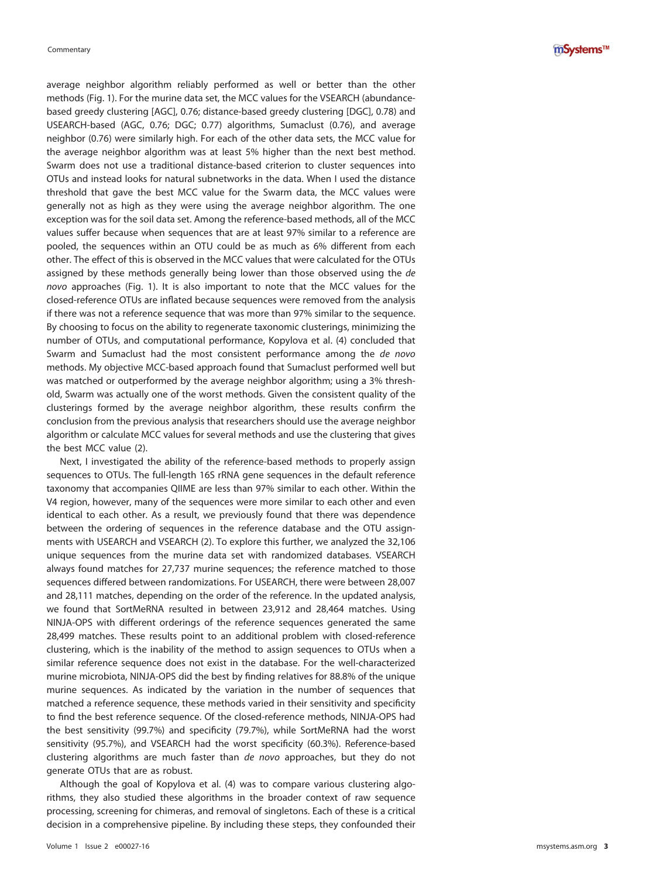average neighbor algorithm reliably performed as well or better than the other methods [\(Fig. 1\)](#page-1-0). For the murine data set, the MCC values for the VSEARCH (abundancebased greedy clustering [AGC], 0.76; distance-based greedy clustering [DGC], 0.78) and USEARCH-based (AGC, 0.76; DGC; 0.77) algorithms, Sumaclust (0.76), and average neighbor (0.76) were similarly high. For each of the other data sets, the MCC value for the average neighbor algorithm was at least 5% higher than the next best method. Swarm does not use a traditional distance-based criterion to cluster sequences into OTUs and instead looks for natural subnetworks in the data. When I used the distance threshold that gave the best MCC value for the Swarm data, the MCC values were generally not as high as they were using the average neighbor algorithm. The one exception was for the soil data set. Among the reference-based methods, all of the MCC values suffer because when sequences that are at least 97% similar to a reference are pooled, the sequences within an OTU could be as much as 6% different from each other. The effect of this is observed in the MCC values that were calculated for the OTUs assigned by these methods generally being lower than those observed using the de novo approaches [\(Fig. 1\)](#page-1-0). It is also important to note that the MCC values for the closed-reference OTUs are inflated because sequences were removed from the analysis if there was not a reference sequence that was more than 97% similar to the sequence. By choosing to focus on the ability to regenerate taxonomic clusterings, minimizing the number of OTUs, and computational performance, Kopylova et al. [\(4\)](#page-3-3) concluded that Swarm and Sumaclust had the most consistent performance among the de novo methods. My objective MCC-based approach found that Sumaclust performed well but was matched or outperformed by the average neighbor algorithm; using a 3% threshold, Swarm was actually one of the worst methods. Given the consistent quality of the clusterings formed by the average neighbor algorithm, these results confirm the conclusion from the previous analysis that researchers should use the average neighbor algorithm or calculate MCC values for several methods and use the clustering that gives the best MCC value [\(2\)](#page-3-1).

Next, I investigated the ability of the reference-based methods to properly assign sequences to OTUs. The full-length 16S rRNA gene sequences in the default reference taxonomy that accompanies QIIME are less than 97% similar to each other. Within the V4 region, however, many of the sequences were more similar to each other and even identical to each other. As a result, we previously found that there was dependence between the ordering of sequences in the reference database and the OTU assignments with USEARCH and VSEARCH [\(2\)](#page-3-1). To explore this further, we analyzed the 32,106 unique sequences from the murine data set with randomized databases. VSEARCH always found matches for 27,737 murine sequences; the reference matched to those sequences differed between randomizations. For USEARCH, there were between 28,007 and 28,111 matches, depending on the order of the reference. In the updated analysis, we found that SortMeRNA resulted in between 23,912 and 28,464 matches. Using NINJA-OPS with different orderings of the reference sequences generated the same 28,499 matches. These results point to an additional problem with closed-reference clustering, which is the inability of the method to assign sequences to OTUs when a similar reference sequence does not exist in the database. For the well-characterized murine microbiota, NINJA-OPS did the best by finding relatives for 88.8% of the unique murine sequences. As indicated by the variation in the number of sequences that matched a reference sequence, these methods varied in their sensitivity and specificity to find the best reference sequence. Of the closed-reference methods, NINJA-OPS had the best sensitivity (99.7%) and specificity (79.7%), while SortMeRNA had the worst sensitivity (95.7%), and VSEARCH had the worst specificity (60.3%). Reference-based clustering algorithms are much faster than de novo approaches, but they do not generate OTUs that are as robust.

Although the goal of Kopylova et al. [\(4\)](#page-3-3) was to compare various clustering algorithms, they also studied these algorithms in the broader context of raw sequence processing, screening for chimeras, and removal of singletons. Each of these is a critical decision in a comprehensive pipeline. By including these steps, they confounded their